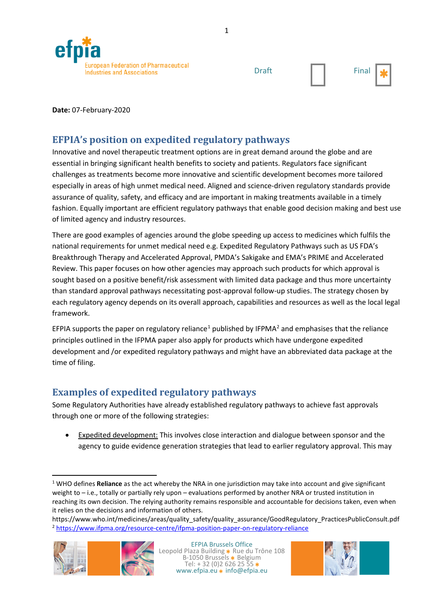



**Date:** 07-February-2020

## **EFPIA's position on expedited regulatory pathways**

Innovative and novel therapeutic treatment options are in great demand around the globe and are essential in bringing significant health benefits to society and patients. Regulators face significant challenges as treatments become more innovative and scientific development becomes more tailored especially in areas of high unmet medical need. Aligned and science-driven regulatory standards provide assurance of quality, safety, and efficacy and are important in making treatments available in a timely fashion. Equally important are efficient regulatory pathways that enable good decision making and best use of limited agency and industry resources.

There are good examples of agencies around the globe speeding up access to medicines which fulfils the national requirements for unmet medical need e.g. Expedited Regulatory Pathways such as US FDA's Breakthrough Therapy and Accelerated Approval, PMDA's Sakigake and EMA's PRIME and Accelerated Review. This paper focuses on how other agencies may approach such products for which approval is sought based on a positive benefit/risk assessment with limited data package and thus more uncertainty than standard approval pathways necessitating post-approval follow-up studies. The strategy chosen by each regulatory agency depends on its overall approach, capabilities and resources as well as the local legal framework.

EFPIA supports the paper on regulatory reliance<sup>[1](#page-0-0)</sup> published by IFPMA<sup>[2](#page-0-1)</sup> and emphasises that the reliance principles outlined in the IFPMA paper also apply for products which have undergone expedited development and /or expedited regulatory pathways and might have an abbreviated data package at the time of filing.

## **Examples of expedited regulatory pathways**

Some Regulatory Authorities have already established regulatory pathways to achieve fast approvals through one or more of the following strategies:

• Expedited development: This involves close interaction and dialogue between sponsor and the agency to guide evidence generation strategies that lead to earlier regulatory approval. This may

<span id="page-0-1"></span>https://www.who.int/medicines/areas/quality\_safety/quality\_assurance/GoodRegulatory\_PracticesPublicConsult.pdf <sup>2</sup> <https://www.ifpma.org/resource-centre/ifpma-position-paper-on-regulatory-reliance>





<span id="page-0-0"></span> <sup>1</sup> WHO defines **Reliance** as the act whereby the NRA in one jurisdiction may take into account and give significant weight to – i.e., totally or partially rely upon – evaluations performed by another NRA or trusted institution in reaching its own decision. The relying authority remains responsible and accountable for decisions taken, even when it relies on the decisions and information of others.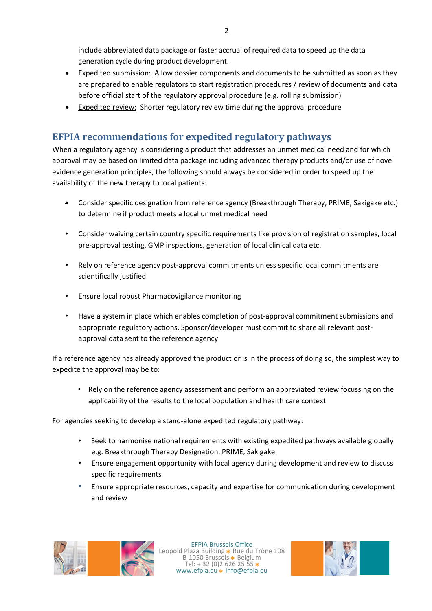include abbreviated data package or faster accrual of required data to speed up the data generation cycle during product development.

- Expedited submission: Allow dossier components and documents to be submitted as soon as they are prepared to enable regulators to start registration procedures / review of documents and data before official start of the regulatory approval procedure (e.g. rolling submission)
- Expedited review: Shorter regulatory review time during the approval procedure

## **EFPIA recommendations for expedited regulatory pathways**

When a regulatory agency is considering a product that addresses an unmet medical need and for which approval may be based on limited data package including advanced therapy products and/or use of novel evidence generation principles, the following should always be considered in order to speed up the availability of the new therapy to local patients:

- Consider specific designation from reference agency (Breakthrough Therapy, PRIME, Sakigake etc.) to determine if product meets a local unmet medical need
- Consider waiving certain country specific requirements like provision of registration samples, local pre-approval testing, GMP inspections, generation of local clinical data etc.
- Rely on reference agency post-approval commitments unless specific local commitments are scientifically justified
- Ensure local robust Pharmacovigilance monitoring
- Have a system in place which enables completion of post-approval commitment submissions and appropriate regulatory actions. Sponsor/developer must commit to share all relevant postapproval data sent to the reference agency

If a reference agency has already approved the product or is in the process of doing so, the simplest way to expedite the approval may be to:

• Rely on the reference agency assessment and perform an abbreviated review focussing on the applicability of the results to the local population and health care context

For agencies seeking to develop a stand-alone expedited regulatory pathway:

- Seek to harmonise national requirements with existing expedited pathways available globally e.g. Breakthrough Therapy Designation, PRIME, Sakigake
- Ensure engagement opportunity with local agency during development and review to discuss specific requirements
- Ensure appropriate resources, capacity and expertise for communication during development and review